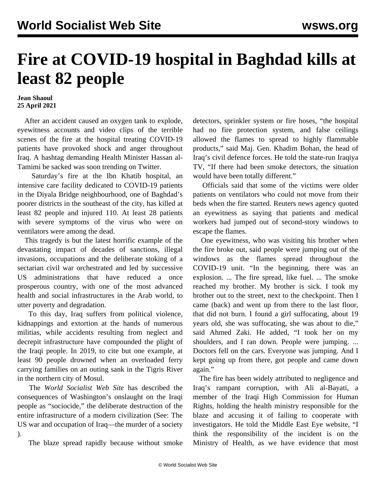## **Fire at COVID-19 hospital in Baghdad kills at least 82 people**

## **Jean Shaoul 25 April 2021**

 After an accident caused an oxygen tank to explode, eyewitness accounts and video clips of the terrible scenes of the fire at the hospital treating COVID-19 patients have provoked shock and anger throughout Iraq. A hashtag demanding Health Minister Hassan al-Tamimi be sacked was soon trending on Twitter.

 Saturday's fire at the Ibn Khatib hospital, an intensive care facility dedicated to COVID-19 patients in the Diyala Bridge neighbourhood, one of Baghdad's poorer districts in the southeast of the city, has killed at least 82 people and injured 110. At least 28 patients with severe symptoms of the virus who were on ventilators were among the dead.

 This tragedy is but the latest horrific example of the devastating impact of decades of sanctions, illegal invasions, occupations and the deliberate stoking of a sectarian civil war orchestrated and led by successive US administrations that have reduced a once prosperous country, with one of the most advanced health and social infrastructures in the Arab world, to utter poverty and degradation.

 To this day, Iraq suffers from political violence, kidnappings and extortion at the hands of numerous militias, while accidents resulting from neglect and decrepit infrastructure have compounded the plight of the Iraqi people. In 2019, to cite but one example, at least 90 people drowned when an overloaded ferry carrying families on an outing sank in the Tigris River in the northern city of Mosul.

 The *World Socialist Web Site* has described the consequences of Washington's onslaught on the Iraqi people as "sociocide," the deliberate destruction of the entire infrastructure of a modern civilization (See: [The](/en/articles/2007/05/iraq-m19.html) [US war and occupation of Iraq—the murder of a society](/en/articles/2007/05/iraq-m19.html) ).

The blaze spread rapidly because without smoke

detectors, sprinkler system or fire hoses, "the hospital had no fire protection system, and false ceilings allowed the flames to spread to highly flammable products," said Maj. Gen. Khadim Bohan, the head of Iraq's civil defence forces. He told the state-run Iraqiya TV, "If there had been smoke detectors, the situation would have been totally different."

 Officials said that some of the victims were older patients on ventilators who could not move from their beds when the fire started. Reuters news agency quoted an eyewitness as saying that patients and medical workers had jumped out of second-story windows to escape the flames.

 One eyewitness, who was visiting his brother when the fire broke out, said people were jumping out of the windows as the flames spread throughout the COVID-19 unit. "In the beginning, there was an explosion. ... The fire spread, like fuel. ... The smoke reached my brother. My brother is sick. I took my brother out to the street, next to the checkpoint. Then I came (back) and went up from there to the last floor, that did not burn. I found a girl suffocating, about 19 years old, she was suffocating, she was about to die," said Ahmed Zaki. He added, "I took her on my shoulders, and I ran down. People were jumping. ... Doctors fell on the cars. Everyone was jumping. And I kept going up from there, got people and came down again."

 The fire has been widely attributed to negligence and Iraq's rampant corruption, with Ali al-Bayati, a member of the Iraqi High Commission for Human Rights, holding the health ministry responsible for the blaze and accusing it of failing to cooperate with investigators. He told the Middle East Eye website, "I think the responsibility of the incident is on the Ministry of Health, as we have evidence that most